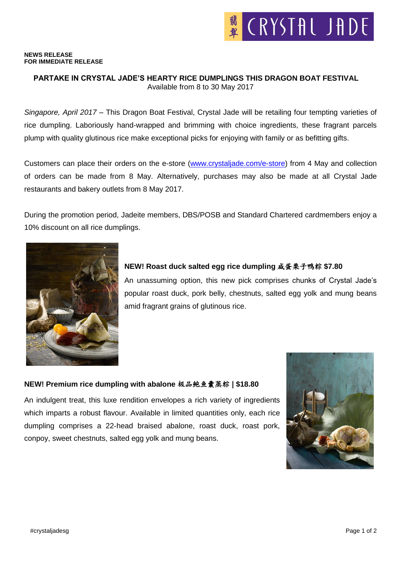#### **NEWS RELEASE FOR IMMEDIATE RELEASE**

## **PARTAKE IN CRYSTAL JADE'S HEARTY RICE DUMPLINGS THIS DRAGON BOAT FESTIVAL** Available from 8 to 30 May 2017

*Singapore, April 2017* – This Dragon Boat Festival, Crystal Jade will be retailing four tempting varieties of rice dumpling. Laboriously hand-wrapped and brimming with choice ingredients, these fragrant parcels plump with quality glutinous rice make exceptional picks for enjoying with family or as befitting gifts.

Customers can place their orders on the e-store [\(www.crystaljade.com/e-store\)](http://www.crystaljade.com/e-store) from 4 May and collection of orders can be made from 8 May. Alternatively, purchases may also be made at all Crystal Jade restaurants and bakery outlets from 8 May 2017.

During the promotion period, Jadeite members, DBS/POSB and Standard Chartered cardmembers enjoy a 10% discount on all rice dumplings.



# **NEW! Roast duck salted egg rice dumpling** 咸蛋栗子鸭粽 **\$7.80**

An unassuming option, this new pick comprises chunks of Crystal Jade's popular roast duck, pork belly, chestnuts, salted egg yolk and mung beans amid fragrant grains of glutinous rice.

#### **NEW! Premium rice dumpling with abalone** 极品鲍鱼囊蒸粽 **| \$18.80**

An indulgent treat, this luxe rendition envelopes a rich variety of ingredients which imparts a robust flavour. Available in limited quantities only, each rice dumpling comprises a 22-head braised abalone, roast duck, roast pork, conpoy, sweet chestnuts, salted egg yolk and mung beans.